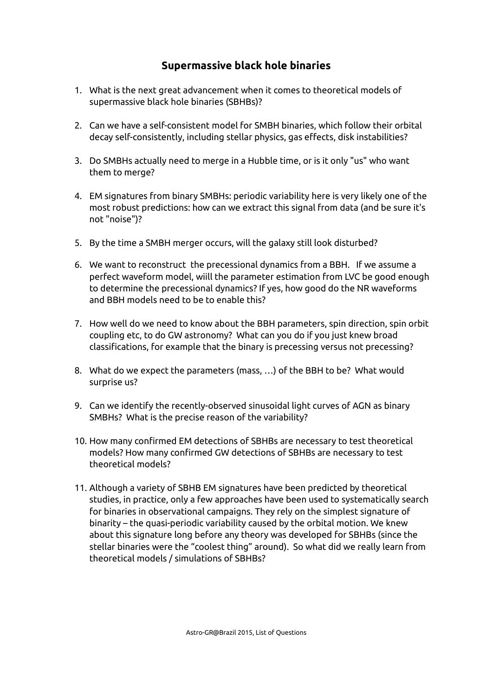#### **Supermassive black hole binaries**

- 1. What is the next great advancement when it comes to theoretical models of supermassive black hole binaries (SBHBs)?
- 2. Can we have a self-consistent model for SMBH binaries, which follow their orbital decay self-consistently, including stellar physics, gas effects, disk instabilities?
- 3. Do SMBHs actually need to merge in a Hubble time, or is it only "us" who want them to merge?
- 4. EM signatures from binary SMBHs: periodic variability here is very likely one of the most robust predictions: how can we extract this signal from data (and be sure it's not "noise")?
- 5. By the time a SMBH merger occurs, will the galaxy still look disturbed?
- 6. We want to reconstruct the precessional dynamics from a BBH. If we assume a perfect waveform model, wiill the parameter estimation from LVC be good enough to determine the precessional dynamics? If yes, how good do the NR waveforms and BBH models need to be to enable this?
- 7. How well do we need to know about the BBH parameters, spin direction, spin orbit coupling etc, to do GW astronomy? What can you do if you just knew broad classifications, for example that the binary is precessing versus not precessing?
- 8. What do we expect the parameters (mass, …) of the BBH to be? What would surprise us?
- 9. Can we identify the recently-observed sinusoidal light curves of AGN as binary SMBHs? What is the precise reason of the variability?
- 10. How many confirmed EM detections of SBHBs are necessary to test theoretical models? How many confirmed GW detections of SBHBs are necessary to test theoretical models?
- 11. Although a variety of SBHB EM signatures have been predicted by theoretical studies, in practice, only a few approaches have been used to systematically search for binaries in observational campaigns. They rely on the simplest signature of binarity – the quasi-periodic variability caused by the orbital motion. We knew about this signature long before any theory was developed for SBHBs (since the stellar binaries were the "coolest thing" around). So what did we really learn from theoretical models / simulations of SBHBs?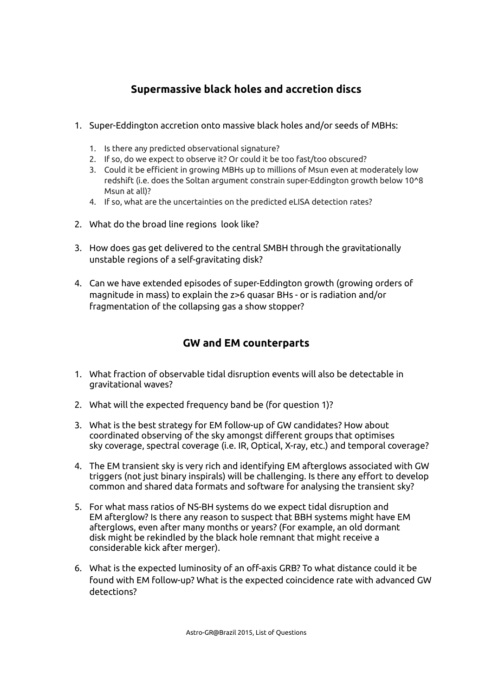# **Supermassive black holes and accretion discs**

- 1. Super-Eddington accretion onto massive black holes and/or seeds of MBHs:
	- 1. Is there any predicted observational signature?
	- 2. If so, do we expect to observe it? Or could it be too fast/too obscured?
	- 3. Could it be efficient in growing MBHs up to millions of Msun even at moderately low redshift (i.e. does the Soltan argument constrain super-Eddington growth below 10^8 Msun at all)?
	- 4. If so, what are the uncertainties on the predicted eLISA detection rates?
- 2. What do the broad line regions look like?
- 3. How does gas get delivered to the central SMBH through the gravitationally unstable regions of a self-gravitating disk?
- 4. Can we have extended episodes of super-Eddington growth (growing orders of magnitude in mass) to explain the z>6 quasar BHs - or is radiation and/or fragmentation of the collapsing gas a show stopper?

## **GW and EM counterparts**

- 1. What fraction of observable tidal disruption events will also be detectable in gravitational waves?
- 2. What will the expected frequency band be (for question 1)?
- 3. What is the best strategy for EM follow-up of GW candidates? How about coordinated observing of the sky amongst different groups that optimises sky coverage, spectral coverage (i.e. IR, Optical, X-ray, etc.) and temporal coverage?
- 4. The EM transient sky is very rich and identifying EM afterglows associated with GW triggers (not just binary inspirals) will be challenging. Is there any effort to develop common and shared data formats and software for analysing the transient sky?
- 5. For what mass ratios of NS-BH systems do we expect tidal disruption and EM afterglow? Is there any reason to suspect that BBH systems might have EM afterglows, even after many months or years? (For example, an old dormant disk might be rekindled by the black hole remnant that might receive a considerable kick after merger).
- 6. What is the expected luminosity of an off-axis GRB? To what distance could it be found with EM follow-up? What is the expected coincidence rate with advanced GW detections?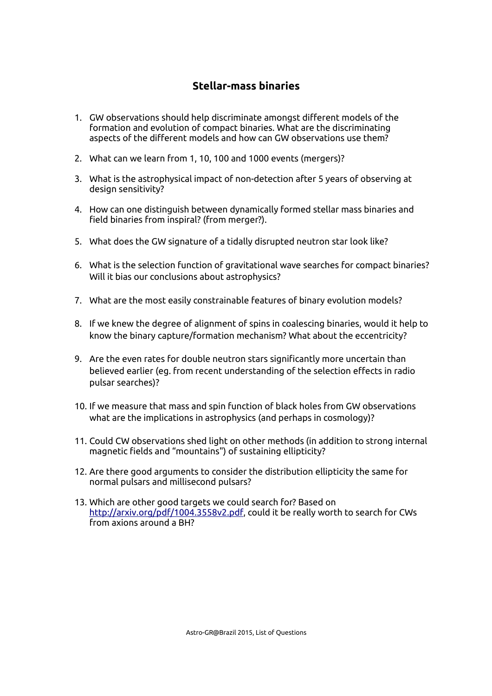## **Stellar-mass binaries**

- 1. GW observations should help discriminate amongst different models of the formation and evolution of compact binaries. What are the discriminating aspects of the different models and how can GW observations use them?
- 2. What can we learn from 1, 10, 100 and 1000 events (mergers)?
- 3. What is the astrophysical impact of non-detection after 5 years of observing at design sensitivity?
- 4. How can one distinguish between dynamically formed stellar mass binaries and field binaries from inspiral? (from merger?).
- 5. What does the GW signature of a tidally disrupted neutron star look like?
- 6. What is the selection function of gravitational wave searches for compact binaries? Will it bias our conclusions about astrophysics?
- 7. What are the most easily constrainable features of binary evolution models?
- 8. If we knew the degree of alignment of spins in coalescing binaries, would it help to know the binary capture/formation mechanism? What about the eccentricity?
- 9. Are the even rates for double neutron stars significantly more uncertain than believed earlier (eg. from recent understanding of the selection effects in radio pulsar searches)?
- 10. If we measure that mass and spin function of black holes from GW observations what are the implications in astrophysics (and perhaps in cosmology)?
- 11. Could CW observations shed light on other methods (in addition to strong internal magnetic fields and "mountains") of sustaining ellipticity?
- 12. Are there good arguments to consider the distribution ellipticity the same for normal pulsars and millisecond pulsars?
- 13. Which are other good targets we could search for? Based on http://arxiv.org/pdf/1004.3558v2.pdf, could it be really worth to search for CWs from axions around a BH?